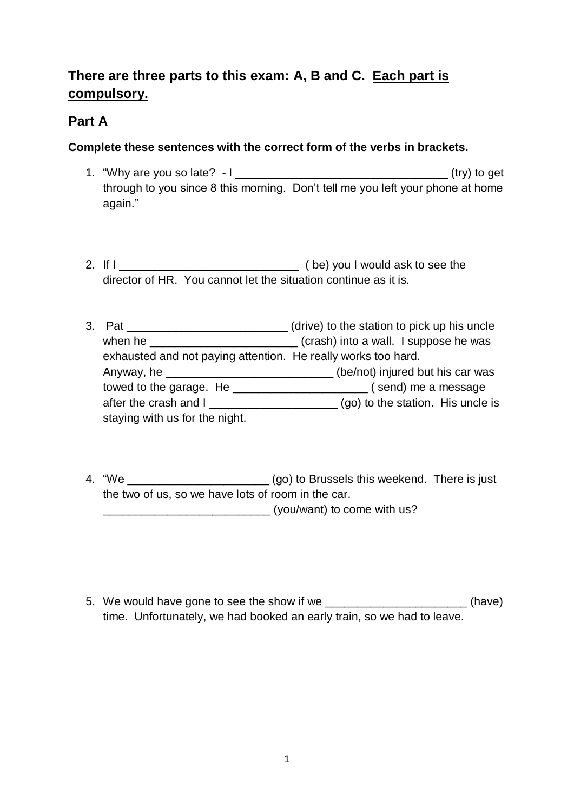## **There are three parts to this exam: A, B and C. Each part is compulsory.**

### **Part A**

### **Complete these sentences with the correct form of the verbs in brackets.**

- 1. "Why are you so late? I \_\_\_\_\_\_\_\_\_\_\_\_\_\_\_\_\_\_\_\_\_\_\_\_\_\_\_\_\_\_\_\_\_ (try) to get through to you since 8 this morning. Don't tell me you left your phone at home again."
- 2. If I \_\_\_\_\_\_\_\_\_\_\_\_\_\_\_\_\_\_\_\_\_\_\_\_\_\_\_\_ ( be) you I would ask to see the director of HR. You cannot let the situation continue as it is.
- 3. Pat \_\_\_\_\_\_\_\_\_\_\_\_\_\_\_\_\_\_\_\_\_\_\_\_\_ (drive) to the station to pick up his uncle when he \_\_\_\_\_\_\_\_\_\_\_\_\_\_\_\_\_\_\_\_\_\_\_\_\_\_\_\_(crash) into a wall. I suppose he was exhausted and not paying attention. He really works too hard. Anyway, he \_\_\_\_\_\_\_\_\_\_\_\_\_\_\_\_\_\_\_\_\_\_\_\_\_\_ (be/not) injured but his car was towed to the garage. He \_\_\_\_\_\_\_\_\_\_\_\_\_\_\_\_\_\_\_\_\_ ( send) me a message after the crash and I after the crash and I after the station. His uncle is staying with us for the night.
- 4. "We \_\_\_\_\_\_\_\_\_\_\_\_\_\_\_\_\_\_\_\_\_\_ (go) to Brussels this weekend. There is just the two of us, so we have lots of room in the car.  $(you/want)$  to come with us?
- 5. We would have gone to see the show if we **EXACCO EXACCO (See The Show if we**  $(have)$ time. Unfortunately, we had booked an early train, so we had to leave.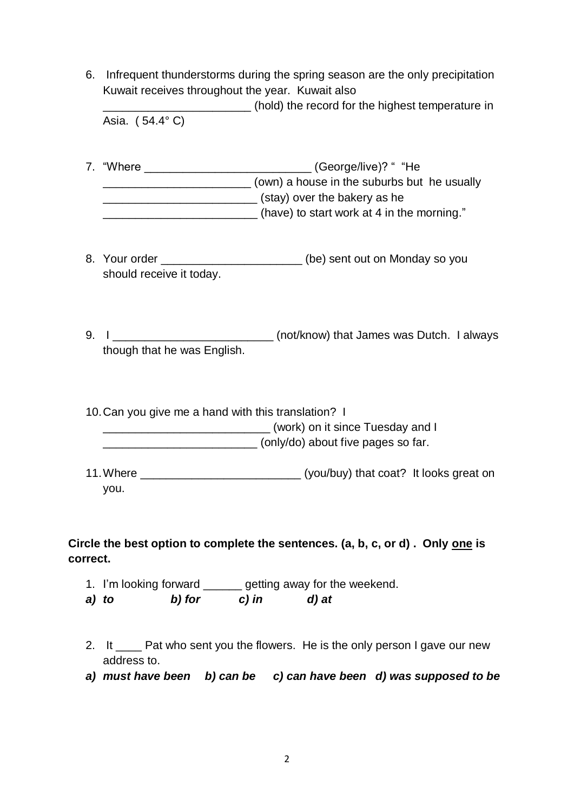6. Infrequent thunderstorms during the spring season are the only precipitation Kuwait receives throughout the year. Kuwait also (hold) the record for the highest temperature in

Asia. ( 54.4° C)

- 7. "Where  $(George/live)$ ? " "He \_\_\_\_\_\_\_\_\_\_\_\_\_\_\_\_\_\_\_\_\_\_\_ (own) a house in the suburbs but he usually **EXECUTE:** (stay) over the bakery as he (have) to start work at 4 in the morning."
- 8. Your order **Example 20** (be) sent out on Monday so you should receive it today.
- 9. I \_\_\_\_\_\_\_\_\_\_\_\_\_\_\_\_\_\_\_\_\_\_\_\_\_\_\_\_\_ (not/know) that James was Dutch. I always though that he was English.

10.Can you give me a hand with this translation? I (work) on it since Tuesday and I  $\frac{1}{2}$  (only/do) about five pages so far.

11.Where \_\_\_\_\_\_\_\_\_\_\_\_\_\_\_\_\_\_\_\_\_\_\_\_\_ (you/buy) that coat? It looks great on you.

**Circle the best option to complete the sentences. (a, b, c, or d) . Only one is correct.**

- 1. I'm looking forward \_\_\_\_\_\_ getting away for the weekend.
- *a) to b) for c) in d) at*
- 2. It \_\_\_\_\_ Pat who sent you the flowers. He is the only person I gave our new address to.
- *a) must have been b) can be c) can have been d) was supposed to be*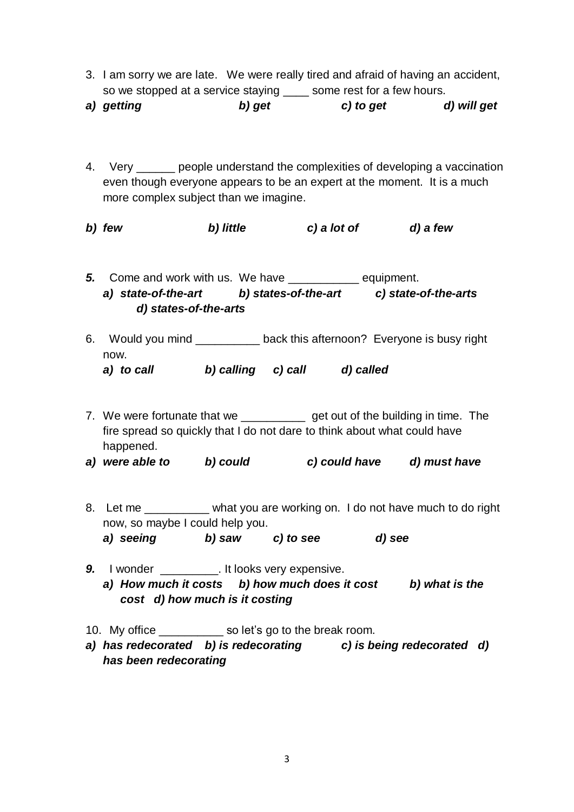- 3. I am sorry we are late. We were really tired and afraid of having an accident, so we stopped at a service staying \_\_\_\_\_ some rest for a few hours.
- *a) getting b) get c) to get d) will get*
- 4. Very people understand the complexities of developing a vaccination even though everyone appears to be an expert at the moment. It is a much more complex subject than we imagine.
- *b) few b) little c) a lot of d) a few*
- *5.* Come and work with us. We have \_\_\_\_\_\_\_\_\_\_\_ equipment. *a) state-of-the-art b) states-of-the-art c) state-of-the-arts d) states-of-the-arts*
- 6. Would you mind \_\_\_\_\_\_\_\_\_\_ back this afternoon? Everyone is busy right now. *a) to call b) calling c) call d) called*
- 7. We were fortunate that we \_\_\_\_\_\_\_\_\_\_\_\_\_ get out of the building in time. The fire spread so quickly that I do not dare to think about what could have happened.
- *a) were able to b) could c) could have d) must have*
- 8. Let me \_\_\_\_\_\_\_\_\_ what you are working on. I do not have much to do right now, so maybe I could help you. *a) seeing b) saw c) to see d) see*
- **9.** I wonder \_\_\_\_\_\_\_\_\_\_. It looks very expensive. *a) How much it costs b) how much does it cost b) what is the cost d) how much is it costing*
- 10. My office so let's go to the break room.
- *a) has redecorated b) is redecorating c) is being redecorated d) has been redecorating*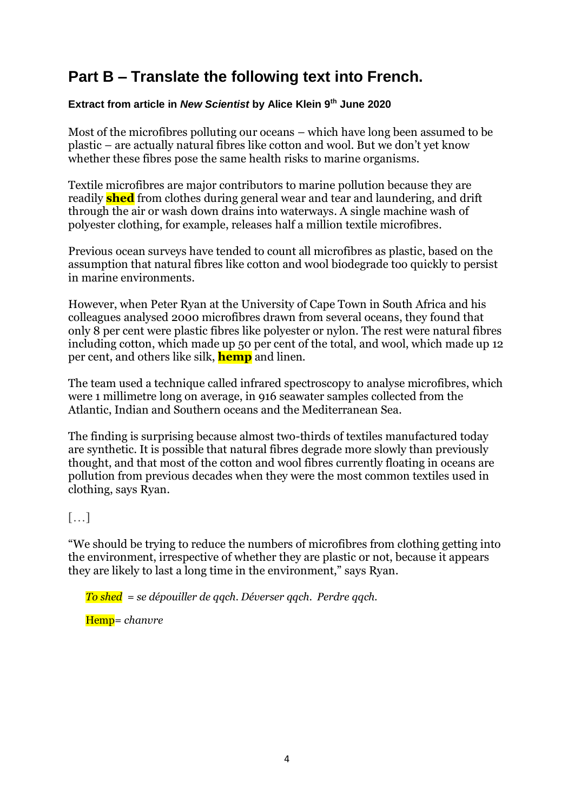# **Part B – Translate the following text into French.**

#### **Extract from article in** *New Scientist* **by Alice Klein 9th June 2020**

Most of the microfibres polluting our oceans – which have long been assumed to be plastic – are actually natural fibres like cotton and wool. But we don't yet know whether these fibres pose the same health risks to marine organisms.

Textile microfibres are major contributors to marine pollution because they are readily **shed** from clothes during general wear and tear and laundering, and [drift](https://www.newscientist.com/article/2213560-microplastics-in-the-arctic-and-the-alps-may-have-blown-in-on-the-wind/)  [through the air](https://www.newscientist.com/article/2213560-microplastics-in-the-arctic-and-the-alps-may-have-blown-in-on-the-wind/) or wash down drains [into waterways.](https://www.newscientist.com/article/2242075-ocean-currents-are-sweeping-microplastics-into-the-deep-sea/) A single machine wash of polyester clothing, for example, releases [half a million textile microfibres.](https://www.sciencedirect.com/science/article/pii/S0025326X16307639)

Previous [ocean surveys](https://www.newscientist.com/article/2243731-we-may-have-missed-half-the-microplastics-in-the-ocean/) have tended to count all microfibres as plastic, based on the assumption that natural fibres like cotton and wool biodegrade too quickly to persist in marine environments.

However, when Peter Ryan at the University of Cape Town in South Africa and his colleagues analysed 2000 microfibres drawn from several oceans, they found that only 8 per cent were plastic fibres like polyester or nylon. The rest were natural fibres including cotton, which made up 50 per cent of the total, and wool, which made up 12 per cent, and others like silk, **hemp** and linen.

The team used a technique called infrared spectroscopy to analyse microfibres, which were 1 millimetre long on average, in 916 seawater samples collected from the Atlantic, Indian and Southern oceans and the Mediterranean Sea.

The finding is surprising because almost two-thirds of textiles manufactured today are synthetic. It is possible that natural fibres degrade more slowly than previously thought, and that most of the cotton and wool fibres currently floating in oceans are pollution from previous decades when they were the most common textiles used in clothing, says Ryan.

#### […]

"We should be trying to reduce the numbers of microfibres from clothing getting into the environment, irrespective of whether they are plastic or not, because it appears they are likely to last a long time in the environment," says Ryan.

*To shed = se dépouiller de qqch. Déverser qqch. Perdre qqch.* 

Hemp= *chanvre*